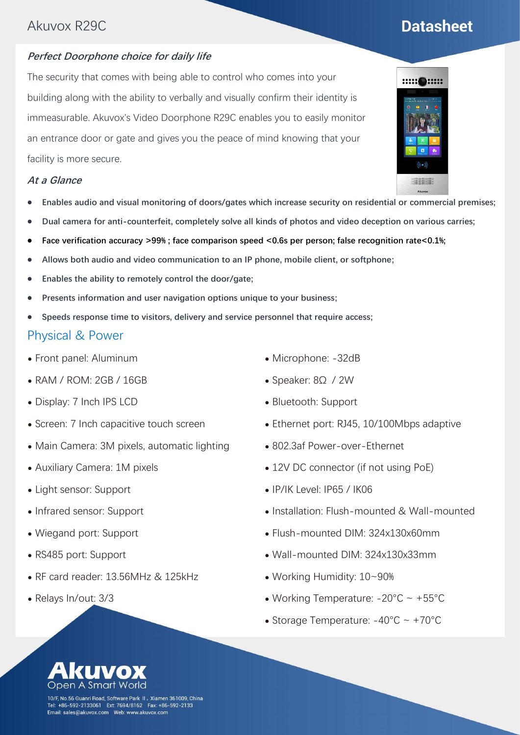## Akuvox R29C

### **Perfect Doorphone choice for daily life**

The security that comes with being able to control who comes into your building along with the ability to verbally and visually confirm their identity is immeasurable. Akuvox's Video Doorphone R29C enables you to easily monitor an entrance door or gate and gives you the peace of mind knowing that your facility is more secure.

#### **At a Glance**

- ⚫ **Enables audio and visual monitoring of doors/gates which increase security on residential or commercial premises;**
- ⚫ **Dual camera for anti-counterfeit, completely solve all kinds of photos and video deception on various carries;**
- **Face verification accuracy >99%; face comparison speed <0.6s per person; false recognition rate<0.1%;**
- ⚫ **Allows both audio and video communication to an IP phone, mobile client, or softphone;**
- ⚫ **Enables the ability to remotely control the door/gate;**
- ⚫ **Presents information and user navigation options unique to your business;**
- ⚫ **Speeds response time to visitors, delivery and service personnel that require access;**

#### Physical & Power

- ⚫ Front panel: Aluminum
- ⚫ RAM / ROM: 2GB / 16GB
- ⚫ Display: 7 Inch IPS LCD
- ⚫ Screen: 7 Inch capacitive touch screen
- ⚫ Main Camera: 3M pixels, automatic lighting
- ⚫ Auxiliary Camera: 1M pixels
- Light sensor: Support
- ⚫ Infrared sensor: Support
- ⚫ Wiegand port: Support
- ⚫ RS485 port: Support
- ⚫ RF card reader: 13.56MHz & 125kHz
- ⚫ Relays In/out: 3/3
- ⚫ Microphone: -32dB
- ⚫ Speaker: 8Ω / 2W
- ⚫ Bluetooth: Support
- ⚫ Ethernet port: RJ45, 10/100Mbps adaptive
- ⚫ 802.3af Power-over-Ethernet
- 12V DC connector (if not using PoE)
- ⚫ IP/IK Level: IP65 / IK06
- ⚫ Installation: Flush-mounted & Wall-mounted
- ⚫ Flush-mounted DIM: 324x130x60mm
- ⚫ Wall-mounted DIM: 324x130x33mm
- ⚫ Working Humidity: 10~90%
- ⚫ Working Temperature: -20°C ~ +55°C
- Storage Temperature:  $-40^{\circ}$ C ~  $+70^{\circ}$ C





- 
- 

- 
- 





10/F, No.56 Guanri Road, Software Park II,Xiamen 361009, China +86-592-2133061 Ext: 7694/8162 Fax: +86-592-2133